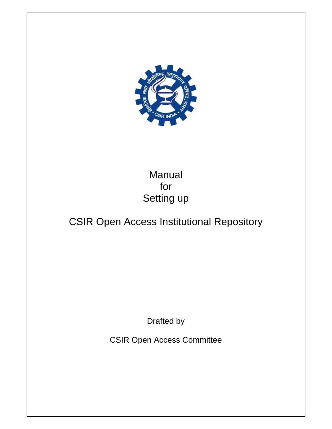

# Manual for Setting up

# CSIR Open Access Institutional Repository

Drafted by

CSIR Open Access Committee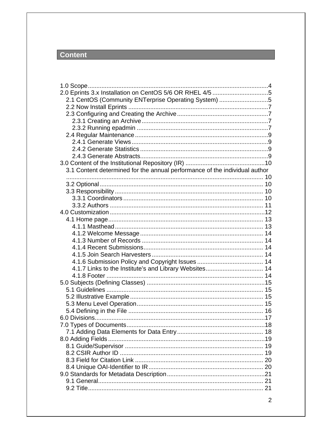## Content

| 2.0 Eprints 3.x Installation on CentOS 5/6 OR RHEL 4/5 5<br>2.1 CentOS (Community ENTerprise Operating System) 5 |  |
|------------------------------------------------------------------------------------------------------------------|--|
|                                                                                                                  |  |
|                                                                                                                  |  |
|                                                                                                                  |  |
|                                                                                                                  |  |
|                                                                                                                  |  |
|                                                                                                                  |  |
|                                                                                                                  |  |
|                                                                                                                  |  |
|                                                                                                                  |  |
| 3.1 Content determined for the annual performance of the individual author                                       |  |
|                                                                                                                  |  |
|                                                                                                                  |  |
|                                                                                                                  |  |
|                                                                                                                  |  |
|                                                                                                                  |  |
|                                                                                                                  |  |
|                                                                                                                  |  |
|                                                                                                                  |  |
|                                                                                                                  |  |
|                                                                                                                  |  |
|                                                                                                                  |  |
|                                                                                                                  |  |
|                                                                                                                  |  |
|                                                                                                                  |  |
|                                                                                                                  |  |
|                                                                                                                  |  |
|                                                                                                                  |  |
|                                                                                                                  |  |
|                                                                                                                  |  |
|                                                                                                                  |  |
|                                                                                                                  |  |
|                                                                                                                  |  |
|                                                                                                                  |  |
|                                                                                                                  |  |
|                                                                                                                  |  |
|                                                                                                                  |  |
|                                                                                                                  |  |
|                                                                                                                  |  |
|                                                                                                                  |  |
|                                                                                                                  |  |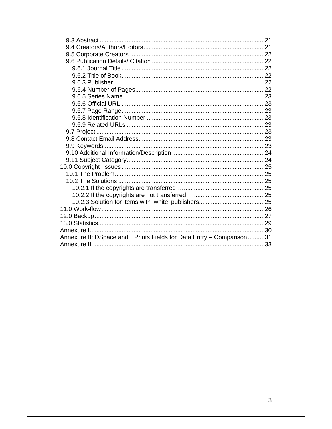| Annexure II: DSpace and EPrints Fields for Data Entry - Comparison 31 |  |
|-----------------------------------------------------------------------|--|
|                                                                       |  |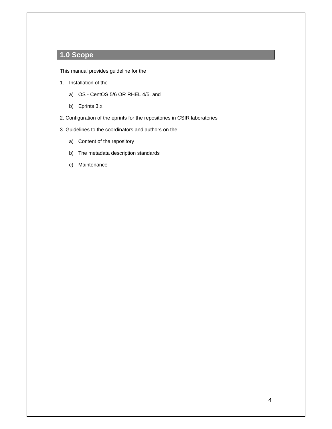## **1.0 Scope**

This manual provides guideline for the

- 1. Installation of the
	- a) OS CentOS 5/6 OR RHEL 4/5, and
	- b) Eprints 3.x
- 2. Configuration of the eprints for the repositories in CSIR laboratories
- 3. Guidelines to the coordinators and authors on the
	- a) Content of the repository
	- b) The metadata description standards
	- c) Maintenance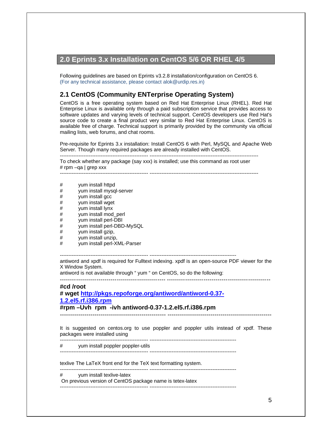### **2.0 Eprints 3.x Installation on CentOS 5/6 OR RHEL 4/5**

Following guidelines are based on Eprints v3.2.8 installation/configuration on CentOS 6. (For any technical assistance, please contact alok@urdip.res.in)

### **2.1 CentOS (Community ENTerprise Operating System)**

CentOS is a free operating system based on Red Hat Enterprise Linux (RHEL). Red Hat Enterprise Linux is available only through a paid subscription service that provides access to software updates and varying levels of technical support. CentOS developers use Red Hat's source code to create a final product very similar to Red Hat Enterprise Linux. CentOS is available free of charge. Technical support is primarily provided by the community via official mailing lists, web forums, and chat rooms.

Pre-requisite for Eprints 3.x installation: Install CentOS 6 with Perl, MySQL and Apache Web Server. Though many required packages are already installed with CentOS. ---------------------------------------------------- ----------------------------------------------------------------

To check whether any package (say xxx) is installed; use this command as root user # rpm –qa | grep xxx

---------------------------------------------------- ----------------------------------------------------------------

- # yum install httpd<br># yum install mysq
- # yum install mysql-server
- # yum install gcc<br># yum install wge
- # yum install wget<br># yum install lynx
- yum install lynx
- # yum install mod\_perl<br># yum install perl-DBI
- yum install perl-DBI
- # yum install perl-DBD-MySQL
- # yum install gzip,
- # yum install unzip,
- # yum install perl-XML-Parser

---------------------------------------------------- ---------------------------------------------------

antiword and xpdf is required for Fulltext indexing. xpdf is an open-source PDF viewer for the X Window System.

antiword is not available through " yum " on CentOS, so do the following:

‐‐‐‐‐‐‐‐‐‐‐‐‐‐‐‐‐‐‐‐‐‐‐‐‐‐‐‐‐‐‐‐‐‐‐‐‐‐‐‐‐‐‐‐‐‐‐‐‐‐‐‐ ‐‐‐‐‐‐‐‐‐‐‐‐‐‐‐‐‐‐‐‐‐‐‐‐‐‐‐‐‐‐‐‐‐‐‐‐‐‐‐‐‐‐‐‐‐‐‐‐‐‐‐ 

#### **#cd /root**

### **# wget http://pkgs.repoforge.org/antiword/antiword-0.37- 1.2.el5.rf.i386.rpm**

**#rpm –Uvh rpm -ivh antiword-0.37-1.2.el5.rf.i386.rpm** 

---------------------------------------------------- ---------------------------------------------------

It is suggested on centos.org to use poppler and poppler utils instead of xpdf. These packages were installed using

---------------------------------------------------- --------------------------------------------------- # yum install poppler poppler-utils

---------------------------------------------------- ---------------------------------------------------

---------------------------------------------------- ---------------------------------------------------

texlive The LaTeX front end for the TeX text formatting system.

# yum install texlive-latex

 On previous version of CentOS package name is tetex-latex ---------------------------------------------------- ---------------------------------------------------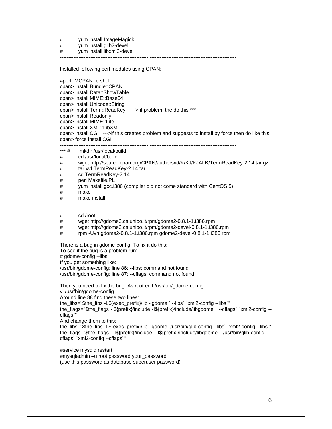# yum install ImageMagick<br># yum install glib2-devel

yum install glib2-devel

# yum install libxml2-devel

---------------------------------------------------- ---------------------------------------------------

Installed following perl modules using CPAN:

---------------------------------------------------- --------------------------------------------------- #perl -MCPAN -e shell cpan> install Bundle::CPAN cpan> install Data::ShowTable cpan> install MIME::Base64 cpan> install Unicode::String cpan> install Term::ReadKey -----> if problem, the do this \*\*\* cpan> install Readonly cpan> install MIME::Lite cpan> install XML::LibXML cpan> install CGI --->if this creates problem and suggests to install by force then do like this cpan> force install CGI

---------------------------------------------------- --------------------------------------------------- \*\*\* # mkdir /usr/local/build # cd /usr/local/build # wget http://search.cpan.org/CPAN/authors/id/K/KJ/KJALB/TermReadKey-2.14.tar.gz # tar xvf TermReadKey-2.14.tar # cd TermReadKey-2.14 # perl Makefile.PL # yum install gcc.i386 (compiler did not come standard with CentOS 5) # make # make install ---------------------------------------------------- ---------------------------------------------------

# cd /root

# wget http://gdome2.cs.unibo.it/rpm/gdome2-0.8.1-1.i386.rpm

# wget http://gdome2.cs.unibo.it/rpm/gdome2-devel-0.8.1-1.i386.rpm

# rpm -Uvh gdome2-0.8.1-1.i386.rpm gdome2-devel-0.8.1-1.i386.rpm

There is a bug in gdome-config. To fix it do this:

To see if the bug is a problem run:

# gdome-config --libs

If you get something like:

/usr/bin/gdome-config: line 86: --libs: command not found

/usr/bin/gdome-config: line 87: --cflags: command not found

Then you need to fix the bug. As root edit /usr/bin/gdome-config vi /usr/bin/gdome-config Around line 88 find these two lines: the\_libs="\$the\_libs -L\${exec\_prefix}/lib -lgdome ` --libs` `xml2-config --libs`" the\_flags="\$the\_flags -I\${prefix}/include -I\${prefix}/include/libgdome ` --cflags` `xml2-config - cflags`" And change them to this: the\_libs="\$the\_libs -L\${exec\_prefix}/lib -lgdome `/usr/bin/glib-config --libs` `xml2-config --libs`" the\_flags="\$the\_flags -I\${prefix}/include -I\${prefix}/include/libgdome `/usr/bin/glib-config - cflags` `xml2-config --cflags`" #service mysqld restart

---------------------------------------------------- ---------------------------------------------------

#mysqladmin –u root password your\_password (use this password as database superuser password)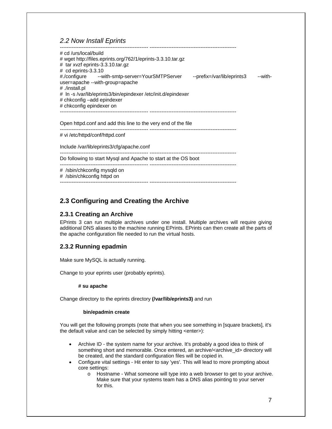### *2.2 Now Install Eprints*

| # cd /urs/local/build<br># wget http://files.eprints.org/762/1/eprints-3.3.10.tar.gz<br># tar xvzf eprints-3.3.10.tar.gz |                            |         |
|--------------------------------------------------------------------------------------------------------------------------|----------------------------|---------|
| $#$ cd eprints-3.3.10                                                                                                    |                            |         |
| #./configure --with-smtp-server=YourSMTPServer                                                                           | --prefix=/var/lib/eprints3 | --with- |
| user=apache --with-group=apache                                                                                          |                            |         |
| # ./install.pl                                                                                                           |                            |         |
| # In -s /var/lib/eprints3/bin/epindexer /etc/init.d/epindexer                                                            |                            |         |
| # chkconfig -add epindexer                                                                                               |                            |         |
| # chkconfig epindexer on                                                                                                 |                            |         |
|                                                                                                                          |                            |         |
|                                                                                                                          |                            |         |

Open httpd.conf and add this line to the very end of the file ---------------------------------------------------- ---------------------------------------------------

# vi /etc/httpd/conf/httpd.conf

Include /var/lib/eprints3/cfg/apache.conf

---------------------------------------------------- --------------------------------------------------- Do following to start Mysql and Apache to start at the OS boot

---------------------------------------------------- ---------------------------------------------------

# /sbin/chkconfig mysqld on

# /sbin/chkconfig httpd on ---------------------------------------------------- ---------------------------------------------------

### **2.3 Configuring and Creating the Archive**

#### **2.3.1 Creating an Archive**

EPrints 3 can run multiple archives under one install. Multiple archives will require giving additional DNS aliases to the machine running EPrints. EPrints can then create all the parts of the apache configuration file needed to run the virtual hosts.

### **2.3.2 Running epadmin**

Make sure MySQL is actually running.

Change to your eprints user (probably eprints).

#### **# su apache**

Change directory to the eprints directory **(/var/lib/eprints3)** and run

#### **bin/epadmin create**

You will get the following prompts (note that when you see something in [square brackets], it's the default value and can be selected by simply hitting <enter>):

- Archive ID the system name for your archive. It's probably a good idea to think of something short and memorable. Once entered, an archive/<archive\_id> directory will be created, and the standard configuration files will be copied in.
- Configure vital settings Hit enter to say 'yes'. This will lead to more prompting about core settings:
	- o Hostname What someone will type into a web browser to get to your archive. Make sure that your systems team has a DNS alias pointing to your server for this.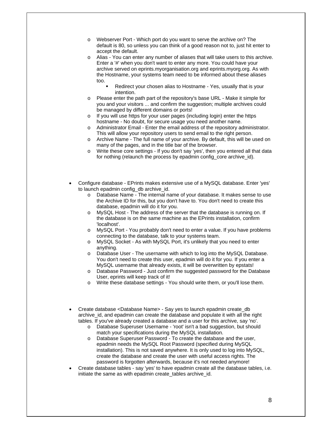- o Webserver Port Which port do you want to serve the archive on? The default is 80, so unless you can think of a good reason not to, just hit enter to accept the default.
- o Alias You can enter any number of aliases that will take users to this archive. Enter a '#' when you don't want to enter any more. You could have your archive served on eprints.myorganisation.org and eprints.myorg.org. As with the Hostname, your systems team need to be informed about these aliases too.
	- Redirect your chosen alias to Hostname Yes, usually that is your intention.
- o Please enter the path part of the repository's base URL Make it simple for you and your visitors ... and confirm the suggestion; multiple archives could be managed by different domains or ports!
- o If you will use https for your user pages (including login) enter the https hostname - No doubt, for secure usage you need another name.
- o Administrator Email Enter the email address of the repository administrator. This will allow your repository users to send email to the right person.
- o Archive Name The full name of your archive. By default, this will be used on many of the pages, and in the title bar of the browser.
- o Write these core settings If you don't say 'yes', then you entered all that data for nothing (relaunch the process by epadmin config core archive id).
- Configure database EPrints makes extensive use of a MySQL database. Enter 'yes' to launch epadmin config\_db archive\_id.
	- o Database Name The internal name of your database. It makes sense to use the Archive ID for this, but you don't have to. You don't need to create this database, epadmin will do it for you.
	- o MySQL Host The address of the server that the database is running on. If the database is on the same machine as the EPrints installation, confirm 'localhost'.
	- o MySQL Port You probably don't need to enter a value. If you have problems connecting to the database, talk to your systems team.
	- o MySQL Socket As with MySQL Port, it's unlikely that you need to enter anything.
	- o Database User The username with which to log into the MySQL Database. You don't need to create this user, epadmin will do it for you. If you enter a MySQL username that already exists, it will be overwritten by epstats!
	- o Database Password Just confirm the suggested password for the Database User, eprints will keep track of it!
	- o Write these database settings You should write them, or you'll lose them.
- Create database <Database Name> Say yes to launch epadmin create\_db archive id, and epadmin can create the database and populate it with all the right tables. If you've already created a database and a user for this archive, say 'no'.
	- o Database Superuser Username 'root' isn't a bad suggestion, but should match your specifications during the MySQL installation.
	- Database Superuser Password To create the database and the user, epadmin needs the MySQL Root Password (specified during MySQL installation). This is not saved anywhere. It is only used to log into MySQL, create the database and create the user with useful access rights. The password is forgotten afterwards, because it's not needed anymore!
- Create database tables say 'yes' to have epadmin create all the database tables, i.e. initiate the same as with epadmin create tables archive id.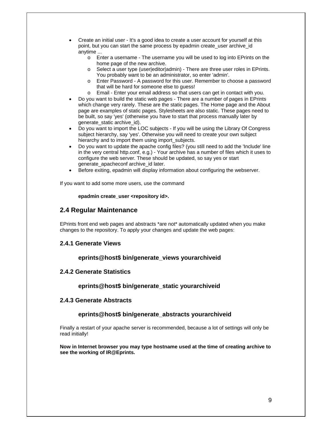- Create an initial user It's a good idea to create a user account for yourself at this point, but you can start the same process by epadmin create\_user archive\_id anytime ...
	- o Enter a username The username you will be used to log into EPrints on the home page of the new archive.
	- o Select a user type (user|editor|admin) There are three user roles in EPrints. You probably want to be an administrator, so enter 'admin'.
	- o Enter Password A password for this user. Remember to choose a password that will be hard for someone else to guess!
	- o Email Enter your email address so that users can get in contact with you.
- Do you want to build the static web pages There are a number of pages in EPrints which change very rarely. These are the static pages. The Home page and the About page are examples of static pages. Stylesheets are also static. These pages need to be built, so say 'yes' (otherwise you have to start that process manually later by generate\_static archive\_id).
- Do you want to import the LOC subjects If you will be using the Library Of Congress subject hierarchy, say 'yes'. Otherwise you will need to create your own subject hierarchy and to import them using import\_subjects.
- Do you want to update the apache config files? (you still need to add the 'Include' line in the very central http.conf, e.g.) - Your archive has a number of files which it uses to configure the web server. These should be updated, so say yes or start generate\_apacheconf archive\_id later.
- Before exiting, epadmin will display information about configuring the webserver.

If you want to add some more users, use the command

#### **epadmin create\_user <repository id>.**

### **2.4 Regular Maintenance**

EPrints front end web pages and abstracts \*are not\* automatically updated when you make changes to the repository. To apply your changes and update the web pages:

#### **2.4.1 Generate Views**

#### **eprints@host\$ bin/generate\_views yourarchiveid**

#### **2.4.2 Generate Statistics**

#### **eprints@host\$ bin/generate\_static yourarchiveid**

#### **2.4.3 Generate Abstracts**

#### **eprints@host\$ bin/generate\_abstracts yourarchiveid**

Finally a restart of your apache server is recommended, because a lot of settings will only be read initially!

#### **Now in Internet browser you may type hostname used at the time of creating archive to see the working of IR@Eprints.**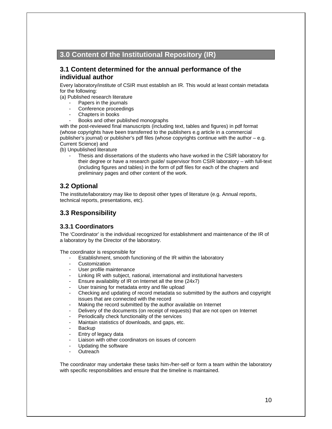### **3.0 Content of the Institutional Repository (IR)**

### **3.1 Content determined for the annual performance of the individual author**

Every laboratory/institute of CSIR must establish an IR. This would at least contain metadata for the following:

(a) Published research literature

- Papers in the journals
- Conference proceedings
- Chapters in books
- Books and other published monographs

with the post-reviewed final manuscripts (including text, tables and figures) in pdf format (whose copyrights have been transferred to the publishers e.g article in a commercial publisher's journal) or publisher's pdf files (whose copyrights continue with the author – e.g. Current Science) and

(b) Unpublished literature

Thesis and dissertations of the students who have worked in the CSIR laboratory for their degree or have a research guide/ supervisor from CSIR laboratory – with full-text (including figures and tables) in the form of pdf files for each of the chapters and preliminary pages and other content of the work.

### **3.2 Optional**

The institute/laboratory may like to deposit other types of literature (e.g. Annual reports, technical reports, presentations, etc).

### **3.3 Responsibility**

### **3.3.1 Coordinators**

The 'Coordinator' is the individual recognized for establishment and maintenance of the IR of a laboratory by the Director of the laboratory.

The coordinator is responsible for

- Establishment, smooth functioning of the IR within the laboratory
- Customization
- User profile maintenance
- Linking IR with subject, national, international and institutional harvesters
- Ensure availability of IR on Internet all the time (24x7)
- User training for metadata entry and file upload
- Checking and updating of record metadata so submitted by the authors and copyright issues that are connected with the record
- Making the record submitted by the author available on Internet
- Delivery of the documents (on receipt of requests) that are not open on Internet
- Periodically check functionality of the services
- Maintain statistics of downloads, and gaps, etc.
- **Backup**
- Entry of legacy data
- Liaison with other coordinators on issues of concern
- Updating the software
- **Outreach**

The coordinator may undertake these tasks him-/her-self or form a team within the laboratory with specific responsibilities and ensure that the timeline is maintained.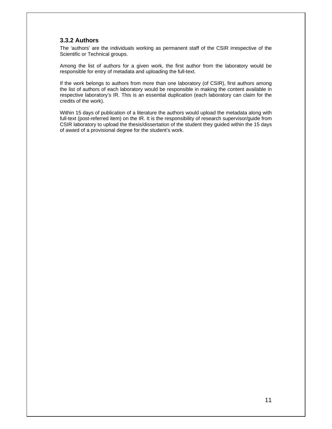### **3.3.2 Authors**

The 'authors' are the individuals working as permanent staff of the CSIR irrespective of the Scientific or Technical groups.

Among the list of authors for a given work, the first author from the laboratory would be responsible for entry of metadata and uploading the full-text.

If the work belongs to authors from more than one laboratory (of CSIR), first authors among the list of authors of each laboratory would be responsible in making the content available in respective laboratory's IR. This is an essential duplication (each laboratory can claim for the credits of the work).

Within 15 days of publication of a literature the authors would upload the metadata along with full-text (post-referred item) on the IR. It is the responsibility of research supervisor/guide from CSIR laboratory to upload the thesis/dissertation of the student they guided within the 15 days of award of a provisional degree for the student's work.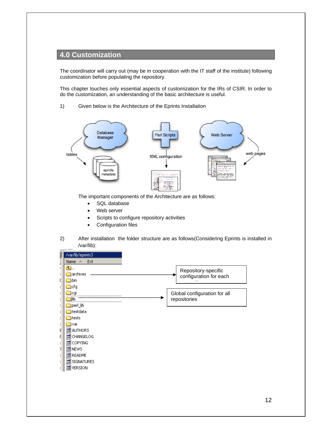### **4.0 Customization**

The coordinator will carry out (may be in cooperation with the IT staff of the institute) following customization before populating the repository.

This chapter touches only essential aspects of customization for the IRs of CSIR. In order to do the customization, an understanding of the basic architecture is useful.

1) Given below is the Architecture of the Eprints Installation



The important components of the Architecture are as follows:

- SQL database
- Web server
- Scripts to configure repository activities
- Configuration files
- 2) After installation the folder structure are as follows(Considering Eprints is installed in /var/lib):

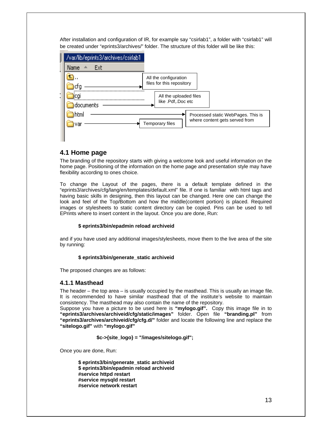After installation and configuration of IR, for example say "csirlab1", a folder with "csirlab1" will be created under "eprints3/archives/" folder. The structure of this folder will be like this:



### **4.1 Home page**

The branding of the repository starts with giving a welcome look and useful information on the home page. Positioning of the information on the home page and presentation style may have flexibility according to ones choice.

To change the Layout of the pages, there is a default template defined in the "eprints3/archives/cfg/lang/en/templates/default.xml" file. If one is familiar with html tags and having basic skills in designing, then this layout can be changed. Here one can change the look and feel of the Top/Bottom and how the middle(content portion) is placed. Required images or stylesheets to static content directory can be copied. Pins can be used to tell EPrints where to insert content in the layout. Once you are done, Run:

#### **\$ eprints3/bin/epadmin reload archiveid**

and if you have used any additional images/stylesheets, move them to the live area of the site by running:

#### **\$ eprints3/bin/generate\_static archiveid**

The proposed changes are as follows:

#### **4.1.1 Masthead**

The header – the top area – is usually occupied by the masthead. This is usually an image file. It is recommended to have similar masthead that of the institute's website to maintain consistency. The masthead may also contain the name of the repository.

Suppose you have a picture to be used here is **"mylogo.gif".** Copy this image file in to **"eprints3/archives/archiveid/cfg/static/images"** folder. Open file **"branding.pl"** from **"eprints3/archives/archiveid/cfg/cfg.d/"** folder and locate the following line and replace the **"sitelogo.gif"** with **"mylogo.gif"** 

 **\$c->{site\_logo} = "/images/sitelogo.gif";** 

Once you are done, Run:

**\$ eprints3/bin/generate\_static archiveid \$ eprints3/bin/epadmin reload archiveid #service httpd restart #service mysqld restart #service network restart**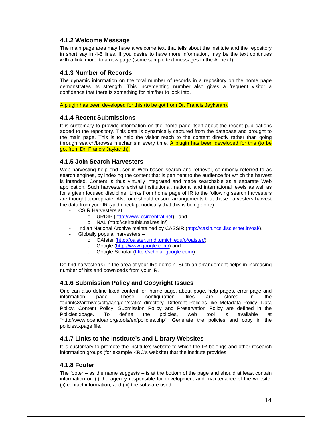#### **4.1.2 Welcome Message**

The main page area may have a welcome text that tells about the institute and the repository in short say in 4-5 lines. If you desire to have more information, may be the text continues with a link 'more' to a new page (some sample text messages in the Annex I).

#### **4.1.3 Number of Records**

The dynamic information on the total number of records in a repository on the home page demonstrates its strength. This incrementing number also gives a frequent visitor a confidence that there is something for him/her to look into.

A plugin has been developed for this (to be got from Dr. Francis Jaykanth).

#### **4.1.4 Recent Submissions**

It is customary to provide information on the home page itself about the recent publications added to the repository. This data is dynamically captured from the database and brought to the main page. This is to help the visitor reach to the content directly rather than going through search/browse mechanism every time. A plugin has been developed for this (to be got from Dr. Francis Jaykanth).

#### **4.1.5 Join Search Harvesters**

Web harvesting help end-user in Web-based search and retrieval, commonly referred to as search engines, by indexing the content that is pertinent to the audience for which the harvest is intended. Content is thus virtually integrated and made searchable as a separate Web application. Such harvesters exist at institutional, national and international levels as well as for a given focused discipline. Links from home page of IR to the following search harvesters are thought appropriate. Also one should ensure arrangements that these harvesters harvest the data from your IR (and check periodically that this is being done):

- CSIR Harvesters at
	- o URDIP (http://www.csircentral.net) and
	- o NAL (http://csirpubls.nal.res.in/)
- Indian National Archive maintained by CASSIR (http://casin.ncsi.iisc.ernet.in/oai/),
- Globally popular harvesters
	- o OAIster (http://oaister.umdl.umich.edu/o/oaister/)
	- o Google (http://www.google.com/) and
	- o Google Scholar (http://scholar.google.com/)

Do find harvester(s) in the area of your IRs domain. Such an arrangement helps in increasing number of hits and downloads from your IR.

### **4.1.6 Submission Policy and Copyright Issues**

One can also define fixed content for: home page, about page, help pages, error page and information page. These configuration files are stored in the "eprints3/archives/cfg/lang/en/static" directory. Different Policies like Metadata Policy, Data Policy, Content Policy, Submission Policy and Preservation Policy are defined in the Policies.xpage. To define the policies, web tool is available at "http://www.opendoar.org/tools/en/policies.php". Generate the policies and copy in the policies.xpage file.

### **4.1.7 Links to the Institute's and Library Websites**

It is customary to promote the institute's website to which the IR belongs and other research information groups (for example KRC's website) that the institute provides.

### **4.1.8 Footer**

The footer – as the name suggests – is at the bottom of the page and should at least contain information on (i) the agency responsible for development and maintenance of the website, (ii) contact information, and (iii) the software used.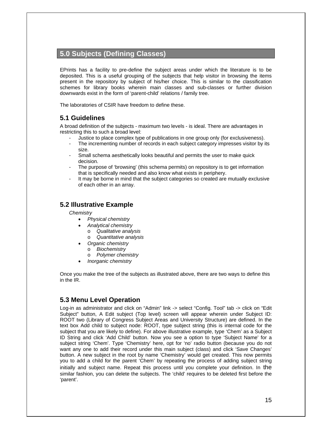### **5.0 Subjects (Defining Classes)**

EPrints has a facility to pre-define the subject areas under which the literature is to be deposited. This is a useful grouping of the subjects that help visitor in browsing the items present in the repository by subject of his/her choice. This is similar to the classification schemes for library books wherein main classes and sub-classes or further division downwards exist in the form of 'parent-child' relations / family tree.

The laboratories of CSIR have freedom to define these.

### **5.1 Guidelines**

A broad definition of the subjects - maximum two levels - is ideal. There are advantages in restricting this to such a broad level:

- Justice to place complex type of publications in one group only (for exclusiveness).
- The incrementing number of records in each subject category impresses visitor by its size.
- Small schema aesthetically looks beautiful and permits the user to make quick decision.
- The purpose of 'browsing' (this schema permits) on repository is to get information that is specifically needed and also know what exists in periphery.
- It may be borne in mind that the subject categories so created are mutually exclusive of each other in an array.

#### **5.2 Illustrative Example**

*Chemistry* 

- *Physical chemistry* 
	- *Analytical chemistry* 
		- o *Qualitative analysis*
		- o *Quantitative analysis*
- *Organic chemistry* 
	- o *Biochemistry*
	- o *Polymer chemistry*
- *Inorganic chemistry*

Once you make the tree of the subjects as illustrated above, there are two ways to define this in the IR.

### **5.3 Menu Level Operation**

Log-in as administrator and click on "Admin" link -> select "Config. Tool" tab -> click on "Edit Subject" button, A Edit subject (Top level) screen will appear wherein under Subject ID: ROOT two (Library of Congress Subject Areas and University Structure) are defined. In the text box Add child to subject node: ROOT, type subject string (this is internal code for the subject that you are likely to define). For above illustrative example, type 'Chem' as a Subject ID String and click 'Add Child' button. Now you see a option to type 'Subject Name' for a subject string 'Chem'. Type 'Chemistry' here, opt for 'no' radio button (because you do not want any one to add their record under this main subject (class) and click 'Save Changes' button. A new subject in the root by name 'Chemistry' would get created. This now permits you to add a child for the parent 'Chem' by repeating the process of adding subject string initially and subject name. Repeat this process until you complete your definition. In the similar fashion, you can delete the subjects. The 'child' requires to be deleted first before the 'parent'.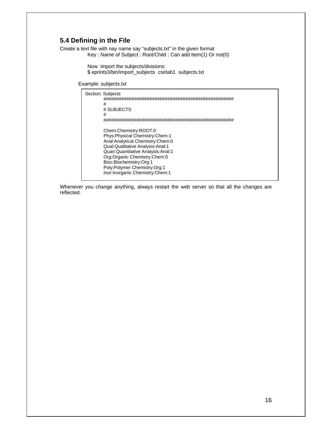### **5.4 Defining in the File**

Create a text file with nay name say "subjects.txt" in the given format Key : Name of Subject : Root/Child : Can add Item(1) Or not(0)

> Now import the subjects/divisions: \$ eprints3/bin/import\_subjects csirlab1 subjects.txt

Example: subjects.txt

```
Section: Subjects 
        ################################################### 
        # 
        # SUBJECTS 
        # 
        ################################################### 
        Chem:Chemistry:ROOT:0 
        Phys:Physical Chemistry:Chem:1 
        Anal:Analytical Chemistry:Chem:0 
        Qual:Qualitative Analysis:Anal:1 
        Quan:Quantitative Analysis:Anal:1 
        Org:Organic Chemistry:Chem:0 
        Bioc:Biochemistry:Org:1 
        Poly:Polymer Chemistry:Org:1 
        Inor:Inorganic Chemistry:Chem:1
```
Whenever you change anything, always restart the web server so that all the changes are reflected.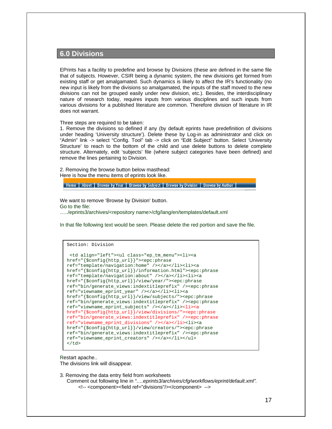### **6.0 Divisions**

EPrints has a facility to predefine and browse by Divisions (these are defined in the same file that of subjects. However, CSIR being a dynamic system, the new divisions get formed from existing staff or get amalgamated. Such dynamics is likely to affect the IR's functionality (no new input is likely from the divisions so amalgamated, the inputs of the staff moved to the new divisions can not be grouped easily under new division, etc.). Besides, the interdisciplinary nature of research today, requires inputs from various disciplines and such inputs from various divisions for a published literature are common. Therefore division of literature in IR does not warrant.

Three steps are required to be taken:

1. Remove the divisions so defined if any (by default eprints have predefinition of divisions under heading 'University structure'). Delete these by Log-in as administrator and click on "Admin" link -> select "Config. Tool" tab -> click on "Edit Subject" button. Select 'University Structure' to reach to the bottom of the child and use delete buttons to delete complete structure. Alternately, edit 'subjects' file (where subject categories have been defined) and remove the lines pertaining to Division.

2. Removing the browse button below masthead: Here is how the menu items of eprints look like.

Home | About | Browse by Year | Browse by Subject | Browse by Division | Browse by Author |

We want to remove 'Browse by Division' button. Go to the file: …../eprints3/archives/<repository name>/cfg/lang/en/templates/default.xml

In that file following text would be seen. Please delete the red portion and save the file.

```
Section: Division 
  <td align="left"><ul class="ep_tm_menu"><li><a 
href="{$config{http_url}}"><epc:phrase 
ref="template/navigation:home" /></a></li><li><a 
href="{$config{http_url}}/information.html"><epc:phrase 
ref="template/navigation:about" /></a></li><li><a 
href="{$config{http_url}}/view/year/"><epc:phrase 
ref="bin/generate_views:indextitleprefix" /><epc:phrase 
ref="viewname_eprint_year" /></a></li><li><a 
href="{$config{http_url}}/view/subjects/"><epc:phrase 
ref="bin/generate_views:indextitleprefix" /><epc:phrase 
ref="viewname_eprint_subjects" /></a></li><li><a 
href="{$config{http_url}}/view/divisions/"><epc:phrase 
ref="bin/generate_views:indextitleprefix" /><epc:phrase 
ref="viewname_eprint_divisions" /></a></li><li><a 
href="{$config{http_url}}/view/creators/"><epc:phrase 
ref="bin/generate_views:indextitleprefix" /><epc:phrase 
ref="viewname_eprint_creators" /></a></li></ul> 
\langle t \rangle
```
Restart apache..

The divisions link will disappear.

3. Removing the data entry field from worksheets

Comment out following line in *"….eprints3/archives/cfg/workflows/eprint/default.xml".* <!-- <component><field ref="divisions"/></component> -->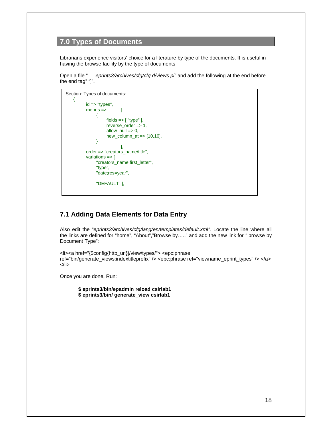### **7.0 Types of Documents**

Librarians experience visitors' choice for a literature by type of the documents. It is useful in having the browse facility by the type of documents.

Open a file "…..*eprints3/archives/cfg/cfg.d/views.pl"* and add the following at the end before the end tag" "]".

```
Section: Types of documents: 
   \left\{ \right.id \Rightarrow "types",
           menus => [ 
                 { 
                     fields \Rightarrow [ "type" ],
                      reverse_order => 1, 
                     allow_null => 0,
                      new_column_at => [10,10], 
                 } 
 ], 
            order => "creators_name/title", 
            variations => [ 
                 "creators_name;first_letter", 
                 "type", 
                 "date;res=year", 
                 "DEFAULT" ],
```
### **7.1 Adding Data Elements for Data Entry**

Also edit the "*eprints3/archives/cfg/lang/en/templates/default.xml".* Locate the line where all the links are defined for "home", "About","Browse by….." and add the new link for *"* browse by Document Type":

```
<li><a href="{$config{http_url}}/view/types/"> <epc:phrase 
ref="bin/generate_views:indextitleprefix" /> <epc:phrase ref="viewname_eprint_types" /> </a> 
</li>
```
Once you are done, Run:

**\$ eprints3/bin/epadmin reload csirlab1 \$ eprints3/bin/ generate\_view csirlab1**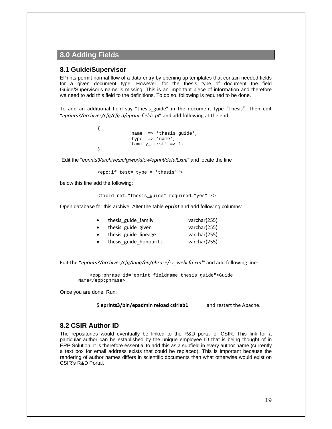### **8.0 Adding Fields**

#### **8.1 Guide/Supervisor**

EPrints permit normal flow of a data entry by opening up templates that contain needed fields for a given document type. However, for the thesis type of document the field Guide/Supervisor's name is missing. This is an important piece of information and therefore we need to add this field to the definitions. To do so, following is required to be done.

To add an additional field say "thesis guide" in the document type "Thesis". Then edit "*eprints3/archives/cfg/cfg.d/eprint‐fields.pl*" and add following at the end:

```
\{'name' => 'thesis_guide',
                       'type' => 'name', 
                       'family_first' => 1, 
             },
```
Edit the "*eprints3/archives/cfg/workflow/eprint/defalt.xml"* and locate the line

```
 <epc:if test="type = 'thesis'">
```
below this line add the following:

<field ref="thesis\_guide" required="yes" />

Open database for this archive. Alter the table *eprint* and add following columns:

| thesis guide family     | varchar(255) |
|-------------------------|--------------|
| thesis guide given      | varchar(255) |
| thesis guide lineage    | varchar(255) |
| thesis guide honourific | varchar(255) |

Edit the "*eprints3/archives/cfg/lang/en/phrase/zz\_webcfg.xml"* and add following line:

<epp:phrase id="eprint\_fieldname\_thesis\_guide">Guide Name</epp:phrase>

Once you are done, Run:

\$ **eprints3/bin/epadmin reload csirlab1**  and restart the Apache.

#### **8.2 CSIR Author ID**

The repositories would eventually be linked to the R&D portal of CSIR. This link for a particular author can be established by the unique employee ID that is being thought of in ERP Solution. It is therefore essential to add this as a subfield in every author name (currently a text box for email address exists that could be replaced). This is important because the rendering of author names differs in scientific documents than what otherwise would exist on CSIR's R&D Portal.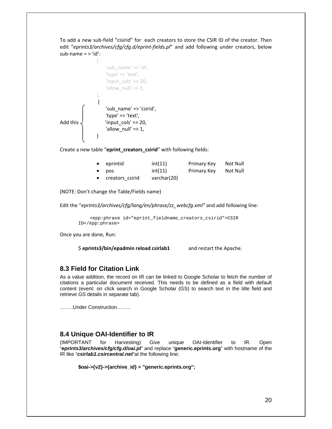To add a new sub‐field "cisirid" for each creators to store the CSIR ID of the creator. Then edit "*eprints3/archives/cfg/cfg.d/eprint‐fields.pl*" and add following under creators, below sub-name  $=$   $>$  'id':

$$
\left\{\n\begin{array}{c}\n\text{sub_name'} => \text{'id'},\n\text{'type'} => \text{'text'},\n\end{array}\n\right.
$$
\n
$$
\left\{\n\begin{array}{c}\n\text{input}_\text{coll} > 20, \\
\text{'allow}_\text{null'} => 1,\n\end{array}\n\right.
$$
\n
$$
\left\{\n\begin{array}{c}\n\text{sub_name'} => \text{ 'csirid'},\n\text{'type'} => \text{ 'test'},\n\end{array}\n\right.
$$
\n
$$
\left\{\n\begin{array}{c}\n\text{sub_name'} => \text{ 'csirid'},\n\text{'input}_\text{coll} > 20, \\
\text{ 'allow}_\text{null'} => 1,\n\end{array}\n\right.
$$

Create a new table "**eprint\_creators\_csirid**" with following fields:

|           | $\bullet$ eprintid | int(11)     | Primary Key | Not Null |
|-----------|--------------------|-------------|-------------|----------|
| $\bullet$ | pos                | int(11)     | Primary Key | Not Null |
|           | • creators csirid  | varchar(20) |             |          |

(NOTE: Don't change the Table/Fields name)

Edit the "*eprints3/archives/cfg/lang/en/phrase/zz\_webcfg.xml"* and add following line:

<epp:phrase id="eprint\_fieldname\_creators\_csirid">CSIR ID</epp:phrase>

Once you are done, Run:

\$ **eprints3/bin/epadmin reload csirlab1**  and restart the Apache.

### **8.3 Field for Citation Link**

As a value addition, the record on IR can be linked to Google Scholar to fetch the number of citations a particular document received. This needs to be defined as a field with default content (event: on click search in Google Scholar (GS) to search text in the title field and retrieve GS details in separate tab).

……..Under Construction……..

### **8.4 Unique OAI-Identifier to IR**

(IMPORTANT for Harvesting) Give unique OAI-Identifier to IR. Open "*eprints3/archives/cfg/cfg.d/oai.pl"* and replace "**generic.eprints.org**" with hostname of the IR like "*csirlab1.csircentral.net*"at the following line:

```
$oai->{v2}->{archive_id} = "generic.eprints.org";
```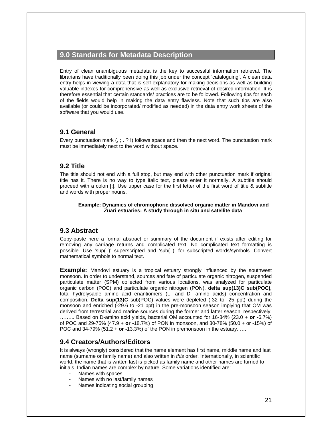### **9.0 Standards for Metadata Description**

Entry of clean unambiguous metadata is the key to successful information retrieval. The librarians have traditionally been doing this job under the concept 'cataloguing'. A clean data entry helps in viewing a data that is self explanatory for making decisions as well as building valuable indexes for comprehensive as well as exclusive retrieval of desired information. It is therefore essential that certain standards/ practices are to be followed. Following tips for each of the fields would help in making the data entry flawless. Note that such tips are also available (or could be incorporated/ modified as needed) in the data entry work sheets of the software that you would use.

### **9.1 General**

Every punctuation mark (, ; . ? !) follows space and then the next word. The punctuation mark must be immediately next to the word without space.

### **9.2 Title**

The title should not end with a full stop, but may end with other punctuation mark if original title has it. There is no way to type italic text, please enter it normally. A subtitle should proceed with a colon [:]. Use upper case for the first letter of the first word of title & subtitle and words with proper nouns.

#### **Example: Dynamics of chromophoric dissolved organic matter in Mandovi and Zuari estuaries: A study through in situ and satellite data**

### **9.3 Abstract**

Copy-paste here a formal abstract or summary of the document if exists after editing for removing any carriage returns and complicated text. No complicated text formatting is possible. Use 'sup( )' superscripted and 'sub( )' for subscripted words/symbols. Convert mathematical symbols to normal text.

**Example:** Mandovi estuary is a tropical estuary strongly influenced by the southwest monsoon. In order to understand, sources and fate of particulate organic nitrogen, suspended particulate matter (SPM) collected from various locations, was analyzed for particulate organic carbon (POC) and particulate organic nitrogen (PON), **delta sup(13)C sub(POC),** total hydrolysable amino acid enantiomers (L- and D- amino acids) concentration and composition. **Delta sup(13)C** sub(POC) values were depleted (-32 to -25 ppt) during the monsoon and enriched (-29.6 to -21 ppt) in the pre-monsoon season implying that OM was derived from terrestrial and marine sources during the former and latter season, respectively. ……... Based on D-amino acid yields, bacterial OM accounted for 16-34% (23.0 **+ or -**6.7%) of POC and 29-75% (47.9 **+ or -**18.7%) of PON in monsoon, and 30-78% (50.0 + or -15%) of POC and 34-79% (51.2 **+ or -**13.3%) of the PON in premonsoon in the estuary. ….

### **9.4 Creators/Authors/Editors**

It is always (wrongly) considered that the name element has first name, middle name and last name (surname or family name) and also written in *this* order. Internationally, in scientific world, the name that is written last is picked as family name and other names are turned to initials. Indian names are complex by nature. Some variations identified are:

- Names with spaces
- Names with no last/family names
- Names indicating social grouping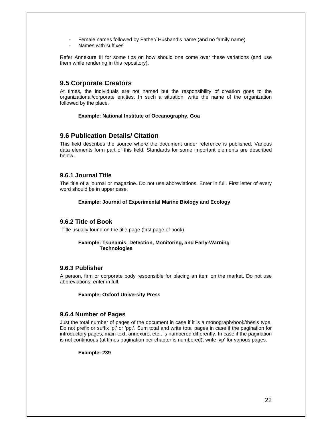- Female names followed by Father/ Husband's name (and no family name)
- Names with suffixes

Refer Annexure III for some tips on how should one come over these variations (and use them while rendering in this repository).

### **9.5 Corporate Creators**

At times, the individuals are not named but the responsibility of creation goes to the organizational/corporate entities. In such a situation, write the name of the organization followed by the place.

#### **Example: National Institute of Oceanography, Goa**

### **9.6 Publication Details/ Citation**

This field describes the source where the document under reference is published. Various data elements form part of this field. Standards for some important elements are described below.

#### **9.6.1 Journal Title**

The title of a journal or magazine. Do not use abbreviations. Enter in full. First letter of every word should be in upper case.

#### **Example: Journal of Experimental Marine Biology and Ecology**

### **9.6.2 Title of Book**

Title usually found on the title page (first page of book).

#### **Example: Tsunamis: Detection, Monitoring, and Early-Warning Technologies**

#### **9.6.3 Publisher**

A person, firm or corporate body responsible for placing an item on the market. Do not use abbreviations, enter in full.

#### **Example: Oxford University Press**

#### **9.6.4 Number of Pages**

Just the total number of pages of the document in case if it is a monograph/book/thesis type. Do not prefix or suffix 'p.' or 'pp.'. Sum total and write total pages in case if the pagination for introductory pages, main text, annexure, etc., is numbered differently. In case if the pagination is not continuous (at times pagination per chapter is numbered), write 'vp' for various pages.

#### **Example: 239**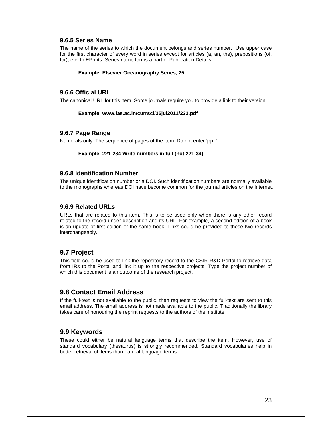#### **9.6.5 Series Name**

The name of the series to which the document belongs and series number. Use upper case for the first character of every word in series except for articles (a, an, the), prepositions (of, for), etc. In EPrints, Series name forms a part of Publication Details.

#### **Example: Elsevier Oceanography Series, 25**

#### **9.6.6 Official URL**

The canonical URL for this item. Some journals require you to provide a link to their version.

#### **Example: www.ias.ac.in/currsci/25jul2011/222.pdf**

#### **9.6.7 Page Range**

Numerals only. The sequence of pages of the item. Do not enter 'pp. '

#### **Example: 221-234 Write numbers in full (not 221-34)**

#### **9.6.8 Identification Number**

The unique identification number or a DOI. Such identification numbers are normally available to the monographs whereas DOI have become common for the journal articles on the Internet.

#### **9.6.9 Related URLs**

URLs that are related to this item. This is to be used only when there is any other record related to the record under description and its URL. For example, a second edition of a book is an update of first edition of the same book. Links could be provided to these two records interchangeably.

### **9.7 Project**

This field could be used to link the repository record to the CSIR R&D Portal to retrieve data from IRs to the Portal and link it up to the respective projects. Type the project number of which this document is an outcome of the research project.

### **9.8 Contact Email Address**

If the full-text is not available to the public, then requests to view the full-text are sent to this email address. The email address is not made available to the public. Traditionally the library takes care of honouring the reprint requests to the authors of the institute.

### **9.9 Keywords**

These could either be natural language terms that describe the item. However, use of standard vocabulary (thesaurus) is strongly recommended. Standard vocabularies help in better retrieval of items than natural language terms.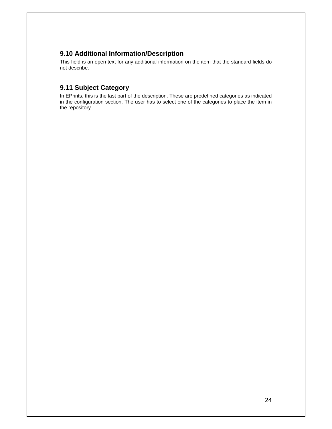### **9.10 Additional Information/Description**

This field is an open text for any additional information on the item that the standard fields do not describe.

### **9.11 Subject Category**

In EPrints, this is the last part of the description. These are predefined categories as indicated in the configuration section. The user has to select one of the categories to place the item in the repository.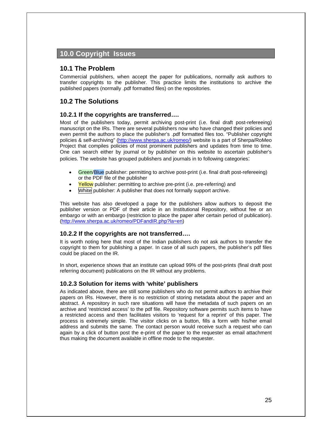### **10.0 Copyright Issues**

### **10.1 The Problem**

Commercial publishers, when accept the paper for publications, normally ask authors to transfer copyrights to the publisher. This practice limits the institutions to archive the published papers (normally .pdf formatted files) on the repositories.

### **10.2 The Solutions**

#### **10.2.1 If the copyrights are transferred….**

Most of the publishers today, permit archiving post-print (i.e. final draft post-refereeing) manuscript on the IRs. There are several publishers now who have changed their policies and even permit the authors to place the publisher's .pdf formatted files too. "Publisher copyright policies & self-archiving" (http://www.sherpa.ac.uk/romeo/) website is a part of Sherpa/RoMeo Project that compiles policies of most prominent publishers and updates from time to time. One can search either by journal or by publisher on this website to ascertain publisher's policies. The website has grouped publishers and journals in to following categories:

- Green/Blue publisher: permitting to archive post-print (i.e. final draft post-refereeing) or the PDF file of the publisher
- Yellow publisher: permitting to archive pre-print (i.e. pre-referring) and
- White publisher: A publisher that does not formally support archive.

This website has also developed a page for the publishers allow authors to deposit the publisher version or PDF of their article in an Institutional Repository, without fee or an embargo or with an embargo (restriction to place the paper after certain period of publication). (http://www.sherpa.ac.uk/romeo/PDFandIR.php?la=en)

#### **10.2.2 If the copyrights are not transferred….**

It is worth noting here that most of the Indian publishers do not ask authors to transfer the copyright to them for publishing a paper. In case of all such papers, the publisher's pdf files could be placed on the IR.

In short, experience shows that an institute can upload 99% of the post-prints (final draft post referring document) publications on the IR without any problems.

#### **10.2.3 Solution for items with 'white' publishers**

As indicated above, there are still some publishers who do not permit authors to archive their papers on IRs. However, there is no restriction of storing metadata about the paper and an abstract. A repository in such rare situations will have the metadata of such papers on an archive and 'restricted access' to the pdf file. Repository software permits such items to have a restricted access and then facilitates visitors to 'request for a reprint' of this paper. The process is extremely simple. The visitor clicks on a button, fills a form with his/her email address and submits the same. The contact person would receive such a request who can again by a click of button post the e-print of the paper to the requester as email attachment thus making the document available in offline mode to the requester.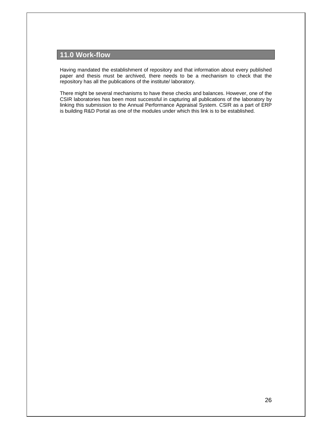## **11.0 Work-flow**

Having mandated the establishment of repository and that information about every published paper and thesis must be archived, there needs to be a mechanism to check that the repository has all the publications of the institute/ laboratory.

There might be several mechanisms to have these checks and balances. However, one of the CSIR laboratories has been most successful in capturing all publications of the laboratory by linking this submission to the Annual Performance Appraisal System. CSIR as a part of ERP is building R&D Portal as one of the modules under which this link is to be established.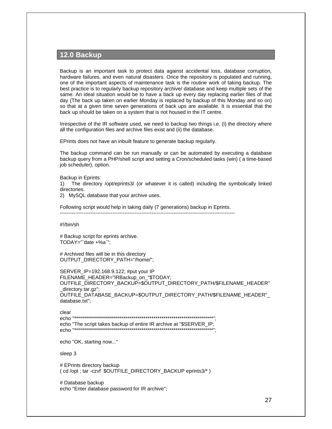### **12.0 Backup**

Backup is an important task to protect data against accidental loss, database corruption, hardware failures, and even natural disasters. Once the repository is populated and running, one of the important aspects of maintenance task is the routine work of taking backup. The best practice is to regularly backup repository archive/ database and keep multiple sets of the same. An ideal situation would be to have a back up every day replacing earlier files of that day (The back up taken on earlier Monday is replaced by backup of this Monday and so on) so that at a given time seven generations of back ups are available. It is essential that the back up should be taken on a system that is not housed in the IT centre.

Irrespective of the IR software used, we need to backup two things i.e. (i) the directory where all the configuration files and archive files exist and (ii) the database.

EPrints does not have an inbuilt feature to generate backup regularly.

The backup command can be run manually or can be automated by executing a database backup query from a PHP/shell script and setting a Cron/scheduled tasks (win) ( a time-based job scheduler), option.

Backup in Eprints:

1) The directory /opt/eprints3/ (or whatever it is called) including the symbolically linked directories.

2) MySQL database that your archive uses.

Following script would help in taking daily (7 generations) backup in Eprints. -------------------------------------------------------------------------------------------------------

#!/bin/sh

# Backup script for eprints archive.  $TODAY="' data + %a'$ ;

# Archived files will be in this directory OUTPUT\_DIRECTORY\_PATH="/home/";

SERVER\_IP=192.168.9.122; #put your IP FILENAME\_HEADER="IRBackup\_on\_"\$TODAY; OUTFILE\_DIRECTORY\_BACKUP=\$OUTPUT\_DIRECTORY\_PATH/\$FILENAME\_HEADER" \_directory.tar.gz"; OUTFILE\_DATABASE\_BACKUP=\$OUTPUT\_DIRECTORY\_PATH/\$FILENAME\_HEADER"\_ database.txt";

clear echo "\*\*\*\*\*\*\*\*\*\*\*\*\*\*\*\*\*\*\*\*\*\*\*\*\*\*\*\*\*\*\*\*\*\*\*\*\*\*\*\*\*\*\*\*\*\*\*\*\*\*\*\*\*\*\*\*\*\*\*\*\*\*\*\*\*\*\*\*\*\*"; echo "The script takes backup of entire IR archive at "\$SERVER\_IP; echo "\*\*\*\*\*\*\*\*\*\*\*\*\*\*\*\*\*\*\*\*\*\*\*\*\*\*\*\*\*\*\*\*\*\*\*\*\*\*\*\*\*\*\*\*\*\*\*\*\*\*\*\*\*\*\*\*\*\*\*\*\*\*\*\*\*\*\*\*\*\*";

echo "OK, starting now..."

sleep 3

# EPrints directory backup ( cd /opt ; tar -czvf \$OUTFILE\_DIRECTORY\_BACKUP eprints3/\* )

# Database backup echo "Enter database password for IR archive";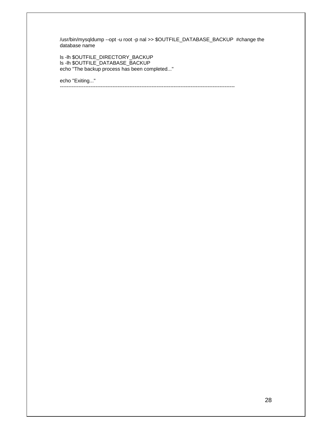/usr/bin/mysqldump --opt -u root -p nal >> \$OUTFILE\_DATABASE\_BACKUP #change the database name

-------------------------------------------------------------------------------------------------------

ls -lh \$OUTFILE\_DIRECTORY\_BACKUP ls -lh \$OUTFILE\_DATABASE\_BACKUP echo "The backup process has been completed..."

echo "Exiting..."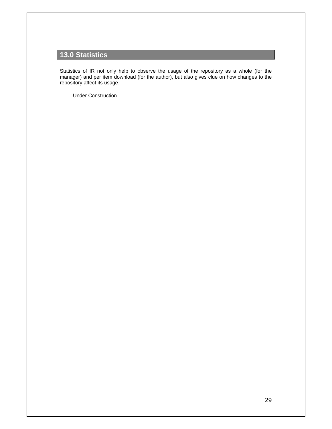## **13.0 Statistics**

Statistics of IR not only help to observe the usage of the repository as a whole (for the manager) and per item download (for the author), but also gives clue on how changes to the repository affect its usage.

……..Under Construction……..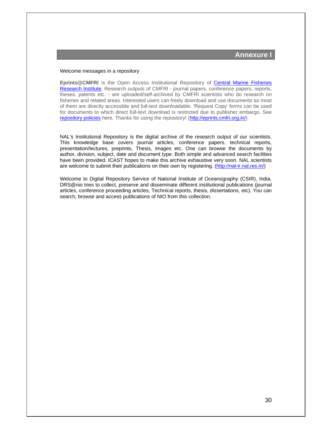#### Welcome messages in a repository

**Eprints@CMFRI** is the Open Access Institutional Repository of Central Marine Fisheries Research Institute. Research outputs of CMFRI - journal papers, conference papers, reports, theses, patents etc. - are uploaded/self-archived by CMFRI scientists who do research on fisheries and related areas. Interested users can freely download and use documents as most of them are directly accessible and full-text downloadable. 'Request Copy' forms can be used for documents to which direct full-text download is restricted due to publisher embargo. See repository policies here. Thanks for using the repository! (http://eprints.cmfri.org.in/)

NAL's Institutional Repository is the digital archive of the research output of our scientists. This knowledge base covers journal articles, conference papers, technical reports, presentation/lectures, preprints, Thesis, images etc. One can browse the documents by author, division, subject, date and document type. Both simple and advanced search facilities have been provided. ICAST hopes to make this archive exhaustive very soon. NAL scientists are welcome to submit their publications on their own by registering. (http://nal-ir.nal.res.in/)

Welcome to Digital Repository Service of National Institute of Oceanography (CSIR), India. DRS@nio tries to collect, preserve and disseminate different institutional publications (journal articles, conference proceeding articles, Technical reports, thesis, dissertations, etc). You can search, browse and access publications of NIO from this collection.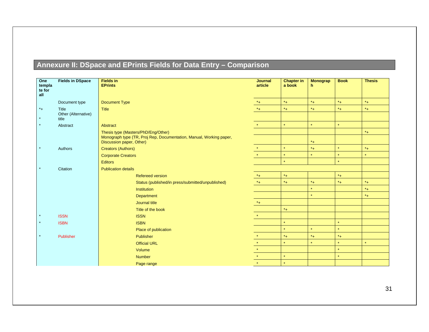## **Annexure II: DSpace and EPrints Fields for Data Entry – Comparison**

| One<br>templa<br>te for | <b>Fields in DSpace</b>      | <b>Fields in</b><br><b>EPrints</b>                                                              | <b>Journal</b><br>article | <b>Chapter in</b><br>a book | <b>Monograp</b><br>h. | <b>Book</b> | <b>Thesis</b>      |
|-------------------------|------------------------------|-------------------------------------------------------------------------------------------------|---------------------------|-----------------------------|-----------------------|-------------|--------------------|
| all                     |                              |                                                                                                 |                           |                             |                       |             |                    |
|                         | Document type                | <b>Document Type</b>                                                                            | $*_{+}$                   | $^\star\texttt{+}$          | $*_{+}$               | $^*+$       | $^{\star}+$        |
| $*$ +                   | Title                        | <b>Title</b>                                                                                    | $*_{+}$                   | $^*+$                       | $^*+$                 | $^*+$       | $*_{+}$            |
| $\star$                 | Other (Alternative)<br>title |                                                                                                 |                           |                             |                       |             |                    |
| $\star$                 | Abstract                     | Abstract                                                                                        | $\star$ .                 | $\star$                     | $\star$               | $\star$     |                    |
|                         |                              | Thesis type (Masters/PhD/Eng/Other)                                                             |                           |                             |                       |             | $^\star\texttt{+}$ |
|                         |                              | Monograph type (TR, Proj Rep, Documentation, Manual, Working paper,<br>Discussion paper, Other) |                           |                             | $*_{+}$               |             |                    |
| $\star$                 | Authors                      | <b>Creators (Authors)</b>                                                                       | $\star$                   | $\star$                     | $*_{+}$               | $\star$     | $*_{+}$            |
|                         |                              | <b>Corporate Creators</b>                                                                       | $\star$                   | $\star$                     | $\star$               | $\star$     | $\star$            |
|                         |                              | <b>Editors</b>                                                                                  |                           | $\star$                     |                       | $\star$     |                    |
| $\star$                 | Citation                     | <b>Publication details</b>                                                                      |                           |                             |                       |             |                    |
|                         |                              | <b>Refereed version</b>                                                                         | $^*+$                     | $*_{+}$                     |                       | $*_{+}$     |                    |
|                         |                              | Status (published/in press/submitted/unpublished)                                               | $*_{+}$                   | $*_{+}$                     | $*_{+}$               | $^*+$       | $*_{+}$            |
|                         |                              | <b>Institution</b>                                                                              |                           |                             | $\star$               |             | $*_{+}$            |
|                         |                              | Department                                                                                      |                           |                             | $\star$               |             | $*_{+}$            |
|                         |                              | Journal title                                                                                   | $*_{+}$                   |                             |                       |             |                    |
|                         |                              | Title of the book                                                                               |                           | $*_{+}$                     |                       |             |                    |
| $\star$                 | <b>ISSN</b>                  | <b>ISSN</b>                                                                                     | $\star$ .                 |                             |                       |             |                    |
| $\star$                 | <b>ISBN</b>                  | <b>ISBN</b>                                                                                     |                           | $\star$                     |                       | $\star$     |                    |
|                         |                              | Place of publication                                                                            |                           | $\star$                     | $\star$               | $\star$     |                    |
| $\star$                 | Publisher                    | Publisher                                                                                       | $\star$                   | $*$ +                       | $*_{+}$               | $^*+$       |                    |
|                         |                              | <b>Official URL</b>                                                                             | $\star$                   | $\star$                     | $\star$               | $\star$     | $\star$            |
|                         |                              | Volume                                                                                          | $\star$                   |                             |                       | $\star$     |                    |
|                         |                              | <b>Number</b>                                                                                   | $\star$                   | $\star$                     |                       | $\star$     |                    |
|                         |                              | Page range                                                                                      | $\star$                   | $\star$                     |                       |             |                    |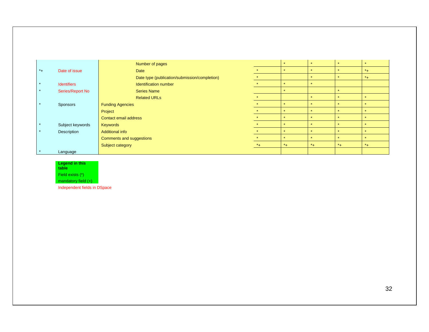|         |                    |                          | Number of pages                               |  |                       |           | $\star$      | $\star$                 | $\star$ |
|---------|--------------------|--------------------------|-----------------------------------------------|--|-----------------------|-----------|--------------|-------------------------|---------|
| $^*$ +  | Date of issue      |                          | <b>Date</b>                                   |  | $\Delta \mathbf{r}$ . |           | $\bullet$    | $\mathbf{d}_\mathrm{f}$ | $*_{+}$ |
|         |                    |                          | Date type (publication/submission/completion) |  |                       |           | $\star$      | $\star$                 | $*_{+}$ |
| $\star$ | <b>Identifiers</b> |                          | Identification number                         |  |                       |           |              |                         |         |
| $\star$ | Series/Report No   |                          | <b>Series Name</b>                            |  |                       |           |              | $\Delta$                |         |
|         |                    |                          | <b>Related URLs</b>                           |  |                       |           |              | $\star$                 |         |
| $\star$ | Sponsors           | <b>Funding Agencies</b>  |                                               |  |                       |           |              |                         | $\star$ |
|         |                    | Project                  |                                               |  |                       |           | $\bullet$    | $\mathbf{d}_\mathrm{f}$ | $\star$ |
|         |                    | Contact email address    |                                               |  |                       | $\bullet$ | $\star$      | $\star$                 |         |
| $\star$ | Subject keywords   | <b>Keywords</b>          |                                               |  |                       | $\bullet$ | $\mathbf{d}$ | $\star$                 |         |
| $\star$ | Description        | Additional info          |                                               |  |                       | $\Delta$  | $\mathbf{d}$ | $\star$                 |         |
|         |                    | Comments and suggestions |                                               |  |                       |           | $\mathbf{d}$ | $\star$                 |         |
|         |                    | Subject category         |                                               |  | $*_{+}$               | $*_{+}$   | $*$ +        | $*_{+}$                 | $*_{+}$ |
|         | Language           |                          |                                               |  |                       |           |              |                         |         |

## **Legend in this table**

Field exists (\*)

mandatory field (+)

Independent fields in DSpace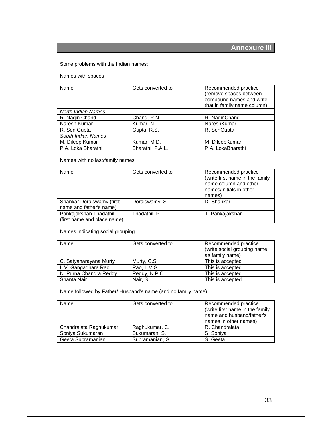## **Annexure III**

Some problems with the Indian names:

Names with spaces

| Name               | Gets converted to | Recommended practice<br>(remove spaces between<br>compound names and write<br>that in family name column) |
|--------------------|-------------------|-----------------------------------------------------------------------------------------------------------|
| North Indian Names |                   |                                                                                                           |
| R. Nagin Chand     | Chand, R.N.       | R. NaginChand                                                                                             |
| Naresh Kumar       | Kumar, N.         | NareshKumar                                                                                               |
| R. Sen Gupta       | Gupta, R.S.       | R. SenGupta                                                                                               |
| South Indian Names |                   |                                                                                                           |
| M. Dileep Kumar    | Kumar, M.D.       | M. DileepKumar                                                                                            |
| P.A. Loka Bharathi | Bharathi, P.A.L.  | P.A. LokaBharathi                                                                                         |

Names with no last/family names

| Name                                                  | Gets converted to | Recommended practice<br>(write first name in the family<br>name column and other<br>names/initials in other<br>names) |
|-------------------------------------------------------|-------------------|-----------------------------------------------------------------------------------------------------------------------|
| Shankar Doraiswamy (first<br>name and father's name)  | Doraiswamy, S.    | D. Shankar                                                                                                            |
| Pankajakshan Thadathil<br>(first name and place name) | Thadathil, P.     | T. Pankajakshan                                                                                                       |

Names indicating social grouping

| Name                   | Gets converted to | Recommended practice<br>(write social grouping name<br>as family name) |
|------------------------|-------------------|------------------------------------------------------------------------|
| C. Satyanarayana Murty | Murty, C.S.       | This is accepted                                                       |
| L.V. Gangadhara Rao    | Rao, L.V.G.       | This is accepted                                                       |
| N. Purna Chandra Reddy | Reddy, N.P.C.     | This is accepted                                                       |
| Shanta Nair            | Nair, S.          | This is accepted                                                       |

Name followed by Father/ Husband's name (and no family name)

| Name                   | Gets converted to | Recommended practice<br>(write first name in the family<br>name and husband/father's<br>names in other names) |
|------------------------|-------------------|---------------------------------------------------------------------------------------------------------------|
| Chandralata Raghukumar | Raghukumar, C.    | R. Chandralata                                                                                                |
| Soniya Sukumaran       | Sukumaran, S.     | S. Soniya                                                                                                     |
| Geeta Subramanian      | Subramanian, G.   | S. Geeta                                                                                                      |